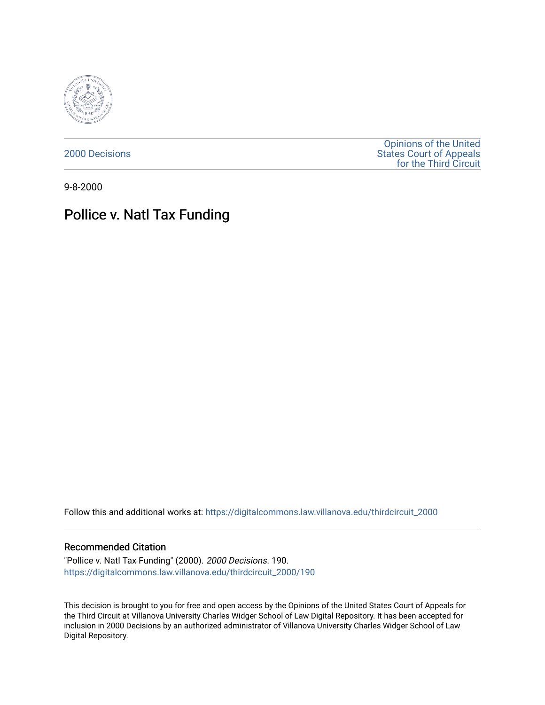

[2000 Decisions](https://digitalcommons.law.villanova.edu/thirdcircuit_2000)

[Opinions of the United](https://digitalcommons.law.villanova.edu/thirdcircuit)  [States Court of Appeals](https://digitalcommons.law.villanova.edu/thirdcircuit)  [for the Third Circuit](https://digitalcommons.law.villanova.edu/thirdcircuit) 

9-8-2000

## Pollice v. Natl Tax Funding

Follow this and additional works at: [https://digitalcommons.law.villanova.edu/thirdcircuit\\_2000](https://digitalcommons.law.villanova.edu/thirdcircuit_2000?utm_source=digitalcommons.law.villanova.edu%2Fthirdcircuit_2000%2F190&utm_medium=PDF&utm_campaign=PDFCoverPages) 

## Recommended Citation

"Pollice v. Natl Tax Funding" (2000). 2000 Decisions. 190. [https://digitalcommons.law.villanova.edu/thirdcircuit\\_2000/190](https://digitalcommons.law.villanova.edu/thirdcircuit_2000/190?utm_source=digitalcommons.law.villanova.edu%2Fthirdcircuit_2000%2F190&utm_medium=PDF&utm_campaign=PDFCoverPages)

This decision is brought to you for free and open access by the Opinions of the United States Court of Appeals for the Third Circuit at Villanova University Charles Widger School of Law Digital Repository. It has been accepted for inclusion in 2000 Decisions by an authorized administrator of Villanova University Charles Widger School of Law Digital Repository.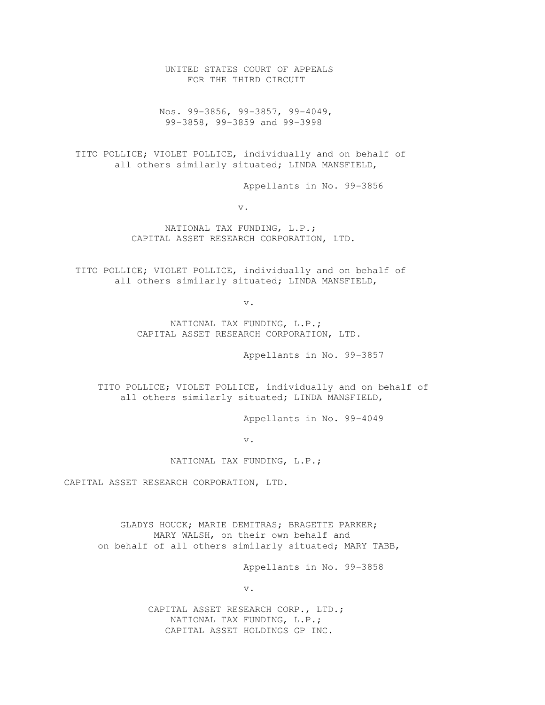UNITED STATES COURT OF APPEALS FOR THE THIRD CIRCUIT

 Nos. 99-3856, 99-3857, 99-4049, 99-3858, 99-3859 and 99-3998

 TITO POLLICE; VIOLET POLLICE, individually and on behalf of all others similarly situated; LINDA MANSFIELD,

Appellants in No. 99-3856

v.

 NATIONAL TAX FUNDING, L.P.; CAPITAL ASSET RESEARCH CORPORATION, LTD.

 TITO POLLICE; VIOLET POLLICE, individually and on behalf of all others similarly situated; LINDA MANSFIELD,

v.

 NATIONAL TAX FUNDING, L.P.; CAPITAL ASSET RESEARCH CORPORATION, LTD.

Appellants in No. 99-3857

 TITO POLLICE; VIOLET POLLICE, individually and on behalf of all others similarly situated; LINDA MANSFIELD,

Appellants in No. 99-4049

v.

NATIONAL TAX FUNDING, L.P.;

CAPITAL ASSET RESEARCH CORPORATION, LTD.

 GLADYS HOUCK; MARIE DEMITRAS; BRAGETTE PARKER; MARY WALSH, on their own behalf and on behalf of all others similarly situated; MARY TABB,

Appellants in No. 99-3858

v.

 CAPITAL ASSET RESEARCH CORP., LTD.; NATIONAL TAX FUNDING, L.P.; CAPITAL ASSET HOLDINGS GP INC.